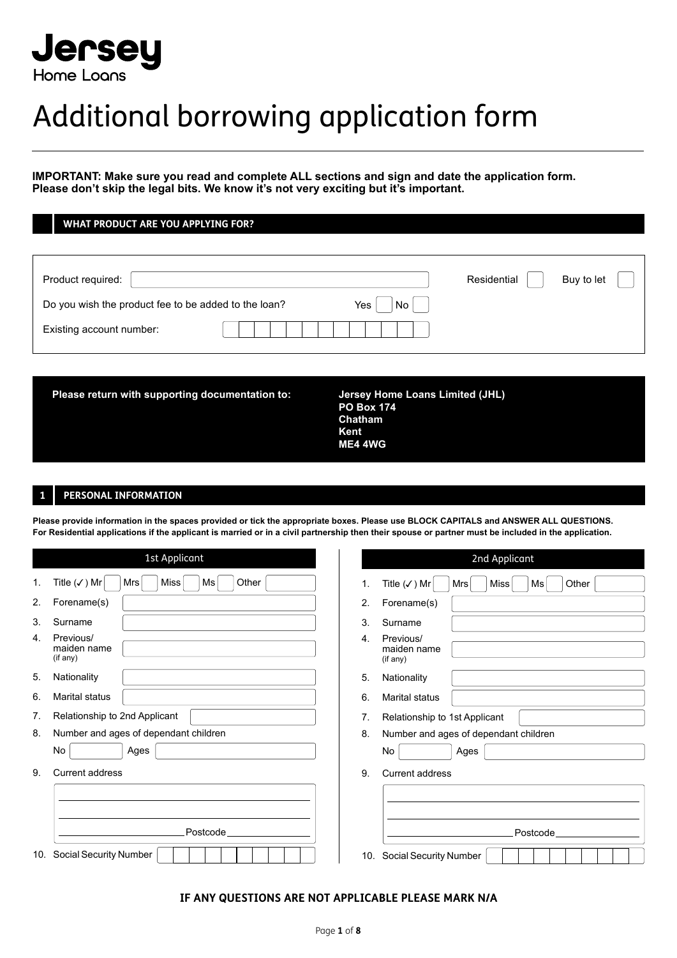

# Additional borrowing application form

**IMPORTANT: Make sure you read and complete ALL sections and sign and date the application form. Please don't skip the legal bits. We know it's not very exciting but it's important.**

**WHAT PRODUCT ARE YOU APPLYING FOR?**

| Product required:                                                 | Residential<br>Buy to let |
|-------------------------------------------------------------------|---------------------------|
| Do you wish the product fee to be added to the loan?<br>Yes<br>No |                           |
| Existing account number:                                          |                           |

Please return with supporting documentation to: Jersey Home Loans Limited (JHL)

 **PO Box 174 Chatham Kent ME4 4WG**

# **1 PERSONAL INFORMATION**

**Please provide information in the spaces provided or tick the appropriate boxes. Please use BLOCK CAPITALS and ANSWER ALL QUESTIONS. For Residential applications if the applicant is married or in a civil partnership then their spouse or partner must be included in the application.**

|                | 1st Applicant                                                       |     | 2nd Applicant                                         |
|----------------|---------------------------------------------------------------------|-----|-------------------------------------------------------|
| $\mathbf{1}$ . | Title $(\checkmark)$ Mr<br><b>Miss</b><br>Other<br>Ms<br><b>Mrs</b> | 1.  | Title $(\checkmark)$ Mr<br>Other<br>Miss<br>Ms<br>Mrs |
| 2.             | Forename(s)                                                         | 2.  | Forename(s)                                           |
| 3.             | Surname                                                             | 3.  | Surname                                               |
| 4.             | Previous/<br>maiden name<br>(if any)                                | 4.  | Previous/<br>maiden name<br>(if any)                  |
| 5.             | Nationality                                                         | 5.  | Nationality                                           |
| 6.             | Marital status                                                      | 6.  | Marital status                                        |
| 7.             | Relationship to 2nd Applicant                                       | 7.  | Relationship to 1st Applicant                         |
| 8.             | Number and ages of dependant children                               | 8.  | Number and ages of dependant children                 |
|                | No<br>Ages                                                          |     | No<br>Ages                                            |
| 9.             | Current address                                                     | 9.  | Current address                                       |
|                |                                                                     |     |                                                       |
|                |                                                                     |     |                                                       |
|                | Postcode                                                            |     | Postcode                                              |
| 10.            | Social Security Number                                              | 10. | <b>Social Security Number</b>                         |

#### **IF ANY QUESTIONS ARE NOT APPLICABLE PLEASE MARK N/A**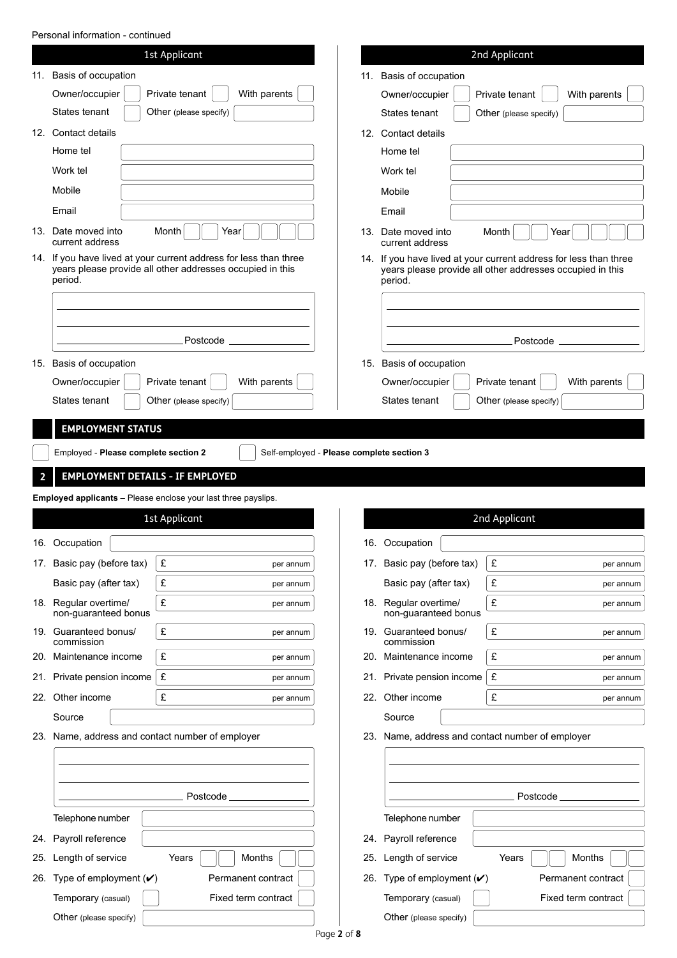Personal information - continued

|                                                                                                                                                      |                                                  | 1st Applicant                                                  |     |                                                                                                                                | 2nd Applicant                                    |
|------------------------------------------------------------------------------------------------------------------------------------------------------|--------------------------------------------------|----------------------------------------------------------------|-----|--------------------------------------------------------------------------------------------------------------------------------|--------------------------------------------------|
| 11.                                                                                                                                                  | Basis of occupation                              |                                                                | 11. | Basis of occupation                                                                                                            |                                                  |
|                                                                                                                                                      | Owner/occupier                                   | Private tenant<br>With parents                                 |     | Owner/occupier                                                                                                                 | Private tenant<br>With parents                   |
|                                                                                                                                                      | States tenant                                    | Other (please specify)                                         |     | States tenant                                                                                                                  | Other (please specify)                           |
|                                                                                                                                                      | 12. Contact details                              |                                                                |     | 12. Contact details                                                                                                            |                                                  |
|                                                                                                                                                      | Home tel                                         |                                                                |     | Home tel                                                                                                                       |                                                  |
|                                                                                                                                                      | Work tel                                         |                                                                |     | Work tel                                                                                                                       |                                                  |
|                                                                                                                                                      | Mobile                                           |                                                                |     | Mobile                                                                                                                         |                                                  |
|                                                                                                                                                      | Email                                            |                                                                |     | Email                                                                                                                          |                                                  |
|                                                                                                                                                      | 13. Date moved into<br>current address           | Month<br>Year                                                  | 13. | Date moved into<br>current address                                                                                             | Month<br>Year                                    |
| 14. If you have lived at your current address for less than three<br>years please provide all other addresses occupied in this<br>period.<br>period. |                                                  |                                                                |     | 14. If you have lived at your current address for less than three<br>years please provide all other addresses occupied in this |                                                  |
|                                                                                                                                                      |                                                  |                                                                |     |                                                                                                                                |                                                  |
|                                                                                                                                                      |                                                  |                                                                |     |                                                                                                                                |                                                  |
|                                                                                                                                                      |                                                  | Postcode                                                       |     |                                                                                                                                | Postcode                                         |
|                                                                                                                                                      | 15. Basis of occupation                          |                                                                |     | 15. Basis of occupation                                                                                                        |                                                  |
|                                                                                                                                                      | Owner/occupier                                   | Private tenant<br>With parents                                 |     | Owner/occupier                                                                                                                 | Private tenant<br>With parents                   |
|                                                                                                                                                      | States tenant                                    | Other (please specify)                                         |     | States tenant                                                                                                                  | Other (please specify)                           |
|                                                                                                                                                      |                                                  |                                                                |     |                                                                                                                                |                                                  |
|                                                                                                                                                      | <b>EMPLOYMENT STATUS</b>                         |                                                                |     |                                                                                                                                |                                                  |
|                                                                                                                                                      | Employed - Please complete section 2             | Self-employed - Please complete section 3                      |     |                                                                                                                                |                                                  |
|                                                                                                                                                      | <b>EMPLOYMENT DETAILS - IF EMPLOYED</b>          |                                                                |     |                                                                                                                                |                                                  |
|                                                                                                                                                      |                                                  | Employed applicants - Please enclose your last three payslips. |     |                                                                                                                                |                                                  |
|                                                                                                                                                      |                                                  | 1st Applicant                                                  |     |                                                                                                                                | 2nd Applicant                                    |
|                                                                                                                                                      |                                                  |                                                                |     |                                                                                                                                |                                                  |
|                                                                                                                                                      | 16. Occupation                                   |                                                                |     | 16. Occupation                                                                                                                 |                                                  |
|                                                                                                                                                      | 17. Basic pay (before tax)                       |                                                                |     |                                                                                                                                |                                                  |
|                                                                                                                                                      |                                                  | £<br>per annum                                                 |     | 17. Basic pay (before tax)                                                                                                     | £<br>per annum                                   |
|                                                                                                                                                      | Basic pay (after tax)                            | £<br>per annum                                                 |     | Basic pay (after tax)                                                                                                          | £<br>per annum                                   |
|                                                                                                                                                      | 18. Regular overtime/<br>non-guaranteed bonus    | £<br>per annum                                                 |     | 18. Regular overtime/<br>non-guaranteed bonus                                                                                  | £<br>per annum                                   |
|                                                                                                                                                      | 19. Guaranteed bonus/<br>commission              | £<br>per annum                                                 |     | 19. Guaranteed bonus/<br>commission                                                                                            | £<br>per annum                                   |
|                                                                                                                                                      | 20. Maintenance income                           | £<br>per annum                                                 |     | 20. Maintenance income                                                                                                         | £<br>per annum                                   |
|                                                                                                                                                      | 21. Private pension income                       | £<br>per annum                                                 |     | 21. Private pension income                                                                                                     | £<br>per annum                                   |
|                                                                                                                                                      | 22. Other income                                 | £<br>per annum                                                 |     | 22. Other income                                                                                                               | £<br>per annum                                   |
|                                                                                                                                                      | Source                                           |                                                                |     | Source                                                                                                                         |                                                  |
|                                                                                                                                                      | 23. Name, address and contact number of employer |                                                                |     |                                                                                                                                | 23. Name, address and contact number of employer |
|                                                                                                                                                      |                                                  |                                                                |     |                                                                                                                                |                                                  |
|                                                                                                                                                      |                                                  |                                                                |     |                                                                                                                                |                                                  |
|                                                                                                                                                      |                                                  |                                                                |     |                                                                                                                                |                                                  |
|                                                                                                                                                      |                                                  | Postcode                                                       |     |                                                                                                                                | Postcode                                         |
|                                                                                                                                                      | Telephone number                                 |                                                                |     | Telephone number                                                                                                               |                                                  |
|                                                                                                                                                      | 24. Payroll reference                            |                                                                |     | 24. Payroll reference                                                                                                          |                                                  |
|                                                                                                                                                      | 25. Length of service                            | Months<br>Years                                                | 25. | Length of service                                                                                                              | Months<br>Years                                  |
|                                                                                                                                                      | 26. Type of employment $(V)$                     | Permanent contract                                             |     | 26. Type of employment $(V)$                                                                                                   | Permanent contract                               |
|                                                                                                                                                      | Temporary (casual)<br>Other (please specify)     | Fixed term contract                                            |     | Temporary (casual)<br>Other (please specify)                                                                                   | Fixed term contract                              |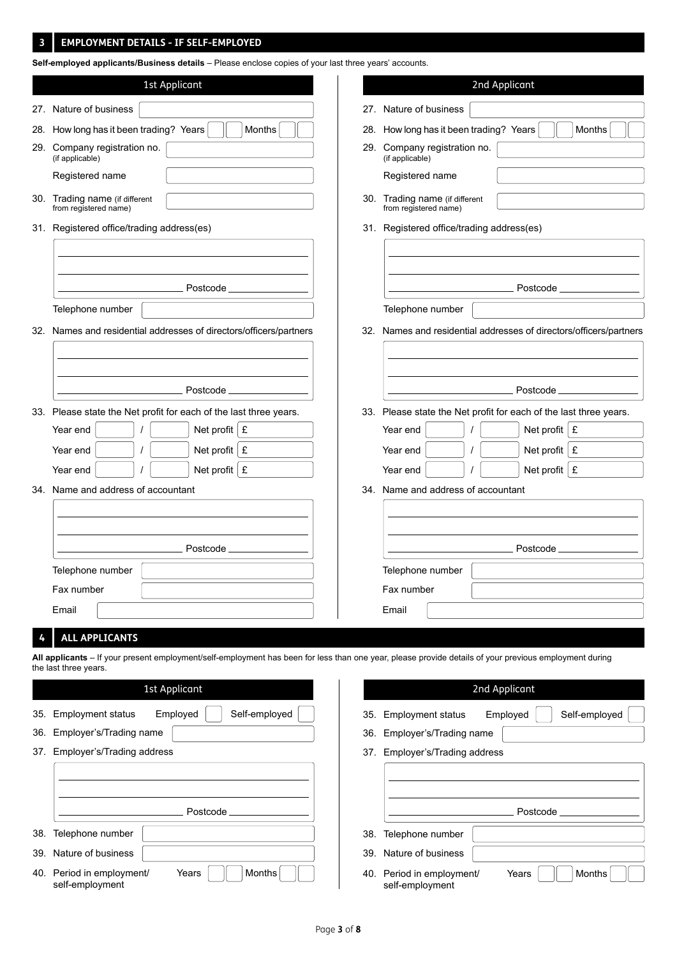#### **EMPLOYMENT DETAILS - IF SELF-EMPLOYED 3**

**Self-employed applicants/Business details** – Please enclose copies of your last three years' accounts.

|     | 1st Applicant                                                                                                                                          |     | 2nd Applicant                                                                                |  |  |
|-----|--------------------------------------------------------------------------------------------------------------------------------------------------------|-----|----------------------------------------------------------------------------------------------|--|--|
|     | 27. Nature of business                                                                                                                                 | 27. | Nature of business                                                                           |  |  |
| 28. | How long has it been trading? Years<br>Months                                                                                                          | 28. | How long has it been trading? Years<br>Months                                                |  |  |
| 29. | Company registration no.<br>(if applicable)                                                                                                            | 29. | Company registration no.<br>(if applicable)                                                  |  |  |
|     | Registered name                                                                                                                                        |     | Registered name                                                                              |  |  |
|     | 30. Trading name (if different<br>from registered name)                                                                                                |     | 30. Trading name (if different<br>from registered name)                                      |  |  |
|     | 31. Registered office/trading address(es)                                                                                                              |     | 31. Registered office/trading address(es)                                                    |  |  |
|     |                                                                                                                                                        |     |                                                                                              |  |  |
|     |                                                                                                                                                        |     |                                                                                              |  |  |
|     | Postcode_                                                                                                                                              |     | Postcode                                                                                     |  |  |
|     | Telephone number                                                                                                                                       |     | Telephone number                                                                             |  |  |
|     | 32. Names and residential addresses of directors/officers/partners                                                                                     |     | 32. Names and residential addresses of directors/officers/partners                           |  |  |
|     |                                                                                                                                                        |     |                                                                                              |  |  |
|     |                                                                                                                                                        |     |                                                                                              |  |  |
|     | Postcode                                                                                                                                               |     | Postcode_                                                                                    |  |  |
|     | 33. Please state the Net profit for each of the last three years.<br>Net profit $\mathbf{E}$                                                           |     | 33. Please state the Net profit for each of the last three years.<br>Net profit $\mathbf{E}$ |  |  |
|     | Year end<br>Net profit $\vert$ £                                                                                                                       |     | Year end                                                                                     |  |  |
|     | Year end<br>Net profit $\mathbf{E}$<br>Year end                                                                                                        |     | Net profit $E$<br>Year end<br>Net profit $\mathbf E$<br>Year end                             |  |  |
|     | 34. Name and address of accountant                                                                                                                     |     | 34. Name and address of accountant                                                           |  |  |
|     |                                                                                                                                                        |     |                                                                                              |  |  |
|     |                                                                                                                                                        |     |                                                                                              |  |  |
|     | Postcode                                                                                                                                               |     | Postcode                                                                                     |  |  |
|     | Telephone number                                                                                                                                       |     | Telephone number                                                                             |  |  |
|     | Fax number                                                                                                                                             |     | Fax number                                                                                   |  |  |
|     | Email                                                                                                                                                  |     | Email                                                                                        |  |  |
|     | <b>ALL APPLICANTS</b>                                                                                                                                  |     |                                                                                              |  |  |
|     | All applicants - If your present employment/self-employment has been for less than one year, please provide details of your previous employment during |     |                                                                                              |  |  |
|     | the last three years.                                                                                                                                  |     |                                                                                              |  |  |
|     | 1st Applicant                                                                                                                                          |     | 2nd Applicant                                                                                |  |  |
| 35. | Self-employed<br><b>Employment status</b><br>Employed                                                                                                  | 35. | Self-employed<br><b>Employment status</b><br>Employed                                        |  |  |
| 36. | Employer's/Trading name                                                                                                                                | 36. | Employer's/Trading name                                                                      |  |  |
| 37. | Employer's/Trading address                                                                                                                             | 37. | Employer's/Trading address                                                                   |  |  |
|     |                                                                                                                                                        |     |                                                                                              |  |  |
|     | Postcode                                                                                                                                               |     | Postcode                                                                                     |  |  |
| 38. | Telephone number                                                                                                                                       | 38. | Telephone number                                                                             |  |  |
| 39. | Nature of business                                                                                                                                     | 39. | Nature of business                                                                           |  |  |
|     | Months<br>40. Period in employment/<br>Years                                                                                                           | 40. | Period in employment/<br>Months<br>Years                                                     |  |  |
|     | self-employment                                                                                                                                        |     | self-employment                                                                              |  |  |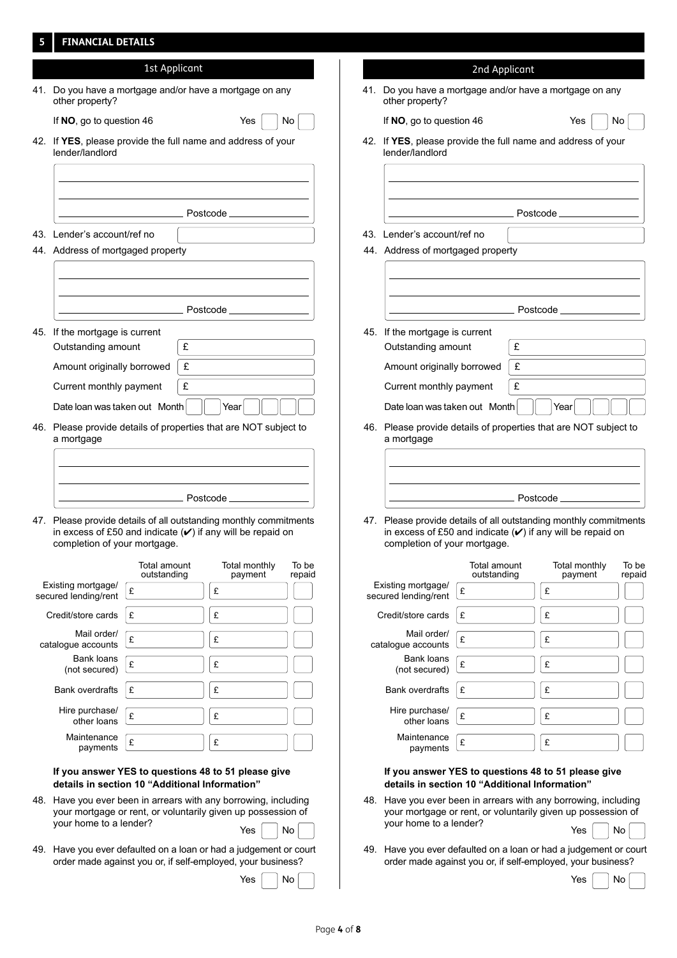# **5 FINANCIAL DETAILS**

| 2nd Applicant                                                                                                                                                                                       |
|-----------------------------------------------------------------------------------------------------------------------------------------------------------------------------------------------------|
| 41. Do you have a mortgage and/or hav<br>other property?                                                                                                                                            |
| If NO, go to question 46                                                                                                                                                                            |
| 42. If YES, please provide the full name<br>lender/landlord                                                                                                                                         |
| Pos                                                                                                                                                                                                 |
| 43. Lender's account/ref no                                                                                                                                                                         |
| 44. Address of mortgaged property                                                                                                                                                                   |
| Pos                                                                                                                                                                                                 |
| 45. If the mortgage is current                                                                                                                                                                      |
| Outstanding amount<br>£                                                                                                                                                                             |
| £<br>Amount originally borrowed                                                                                                                                                                     |
| £<br>Current monthly payment                                                                                                                                                                        |
| Date loan was taken out Month                                                                                                                                                                       |
| 46. Please provide details of properties<br>a mortgage                                                                                                                                              |
|                                                                                                                                                                                                     |
|                                                                                                                                                                                                     |
| - Pos                                                                                                                                                                                               |
| 47. Please provide details of all outstanding monthly commitments<br>47. Please provide details of all outstane<br>in excess of £50 and indicate $(V)$ if<br>completion of your mortgage.           |
| To be<br>Total amount                                                                                                                                                                               |
| repaid<br>outstanding<br>Existing mortgage/<br>£<br>secured lending/rent                                                                                                                            |
| Credit/store cards<br>£                                                                                                                                                                             |
| Mail order/<br>£                                                                                                                                                                                    |
| catalogue accounts<br>Bank loans                                                                                                                                                                    |
| £<br>(not secured)                                                                                                                                                                                  |
| £<br><b>Bank overdrafts</b>                                                                                                                                                                         |
| Hire purchase/<br>£<br>other loans                                                                                                                                                                  |
| Maintenance<br>£<br>payments                                                                                                                                                                        |
| If you answer YES to questions 4<br>details in section 10 "Additional                                                                                                                               |
| 48. Have you ever been in arrears with<br>your mortgage or rent, or voluntarily<br>your home to a lender?                                                                                           |
| 49. Have you ever defaulted on a loan o<br>49. Have you ever defaulted on a loan or had a judgement or court<br>order made against you or, if self-en                                               |
|                                                                                                                                                                                                     |
| 46. Please provide details of properties that are NOT subject to<br>48. Have you ever been in arrears with any borrowing, including<br>your mortgage or rent, or voluntarily given up possession of |

| :ant                                                       | 2nd Applicant                                                                                                                                                     |
|------------------------------------------------------------|-------------------------------------------------------------------------------------------------------------------------------------------------------------------|
| have a mortgage on any                                     | 41. Do you have a mortgage and/or have a mortgage on any<br>other property?                                                                                       |
| Yes<br>No                                                  | If NO, go to question 46<br>Yes<br>No                                                                                                                             |
| ame and address of your                                    | 42. If YES, please provide the full name and address of your<br>lender/landlord                                                                                   |
|                                                            |                                                                                                                                                                   |
| Postcode ______________                                    |                                                                                                                                                                   |
|                                                            | 43. Lender's account/ref no                                                                                                                                       |
|                                                            | 44. Address of mortgaged property                                                                                                                                 |
|                                                            |                                                                                                                                                                   |
| Postcode _____________                                     |                                                                                                                                                                   |
|                                                            | 45. If the mortgage is current                                                                                                                                    |
|                                                            | Outstanding amount<br>£                                                                                                                                           |
|                                                            | £<br>Amount originally borrowed                                                                                                                                   |
|                                                            | £<br>Current monthly payment                                                                                                                                      |
| Year                                                       | Date loan was taken out Month<br>Year                                                                                                                             |
| rties that are NOT subject to                              | 46. Please provide details of properties that are NOT subject to<br>a mortgage                                                                                    |
|                                                            |                                                                                                                                                                   |
| Postcode <b>contracts</b>                                  |                                                                                                                                                                   |
| standing monthly commitments<br>) if any will be repaid on | 47. Please provide details of all outstanding monthly commitments<br>in excess of £50 and indicate $(V)$ if any will be repaid on<br>completion of your mortgage. |
| To be<br>Total monthly<br>ıt<br>payment<br>repaid          | Total amount<br>Total monthly<br>To be<br>outstanding<br>repaid<br>payment                                                                                        |
| £                                                          | Existing mortgage/<br>$\pounds$<br>£<br>secured lending/rent                                                                                                      |
| £                                                          | £<br>£<br>Credit/store cards                                                                                                                                      |
| £                                                          | Mail order/<br>£<br>£<br>catalogue accounts                                                                                                                       |
| £                                                          | Bank loans<br>£<br>£<br>(not secured)                                                                                                                             |
| £                                                          | <b>Bank overdrafts</b><br>£<br>£                                                                                                                                  |
| £                                                          | Hire purchase/<br>£<br>£                                                                                                                                          |

# **If you answer YES to questions 48 to 51 please give details in section 10 "Additional Information"**

£

- Have you ever been in arrears with any borrowing, including your mortgage or rent, or voluntarily given up possession of your home to a lender?  $Y$ es  $\Box$  No
- Have you ever defaulted on a loan or had a judgement or court order made against you or, if self-employed, your business?

| $\mathsf{Yes} \left  \ \left  \ \mathsf{No} \right  \right $ |  |
|--------------------------------------------------------------|--|
|--------------------------------------------------------------|--|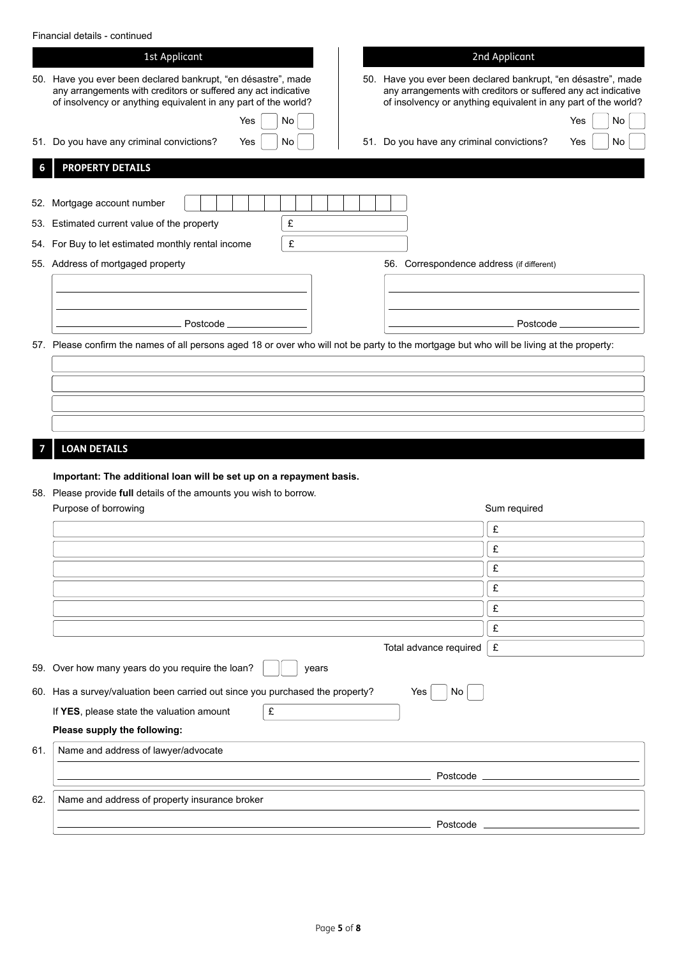| Financial details - continued |
|-------------------------------|
|-------------------------------|

|     | Financial details - continued                                                                                                                                                                     |                                                                                                                                                                                                   |
|-----|---------------------------------------------------------------------------------------------------------------------------------------------------------------------------------------------------|---------------------------------------------------------------------------------------------------------------------------------------------------------------------------------------------------|
|     | 1st Applicant                                                                                                                                                                                     | 2nd Applicant                                                                                                                                                                                     |
|     | 50. Have you ever been declared bankrupt, "en désastre", made<br>any arrangements with creditors or suffered any act indicative<br>of insolvency or anything equivalent in any part of the world? | 50. Have you ever been declared bankrupt, "en désastre", made<br>any arrangements with creditors or suffered any act indicative<br>of insolvency or anything equivalent in any part of the world? |
|     | No<br>Yes                                                                                                                                                                                         | No<br>Yes                                                                                                                                                                                         |
|     | 51. Do you have any criminal convictions?<br>No<br>Yes                                                                                                                                            | 51. Do you have any criminal convictions?<br>No<br>Yes                                                                                                                                            |
|     | <b>PROPERTY DETAILS</b>                                                                                                                                                                           |                                                                                                                                                                                                   |
|     | 52. Mortgage account number                                                                                                                                                                       |                                                                                                                                                                                                   |
|     | £<br>53. Estimated current value of the property                                                                                                                                                  |                                                                                                                                                                                                   |
|     | £<br>54. For Buy to let estimated monthly rental income                                                                                                                                           |                                                                                                                                                                                                   |
|     | 55. Address of mortgaged property                                                                                                                                                                 | 56. Correspondence address (if different)                                                                                                                                                         |
|     |                                                                                                                                                                                                   |                                                                                                                                                                                                   |
|     |                                                                                                                                                                                                   |                                                                                                                                                                                                   |
|     | Postcode.                                                                                                                                                                                         | Postcode.                                                                                                                                                                                         |
|     | 57. Please confirm the names of all persons aged 18 or over who will not be party to the mortgage but who will be living at the property:                                                         |                                                                                                                                                                                                   |
|     |                                                                                                                                                                                                   |                                                                                                                                                                                                   |
|     |                                                                                                                                                                                                   |                                                                                                                                                                                                   |
|     |                                                                                                                                                                                                   |                                                                                                                                                                                                   |
|     |                                                                                                                                                                                                   |                                                                                                                                                                                                   |
|     | <b>LOAN DETAILS</b>                                                                                                                                                                               |                                                                                                                                                                                                   |
|     |                                                                                                                                                                                                   |                                                                                                                                                                                                   |
|     | Important: The additional loan will be set up on a repayment basis.<br>58. Please provide full details of the amounts you wish to borrow.                                                         |                                                                                                                                                                                                   |
|     | Purpose of borrowing                                                                                                                                                                              | Sum required                                                                                                                                                                                      |
|     |                                                                                                                                                                                                   | £                                                                                                                                                                                                 |
|     |                                                                                                                                                                                                   | £                                                                                                                                                                                                 |
|     |                                                                                                                                                                                                   | £                                                                                                                                                                                                 |
|     |                                                                                                                                                                                                   | £                                                                                                                                                                                                 |
|     |                                                                                                                                                                                                   | £                                                                                                                                                                                                 |
|     |                                                                                                                                                                                                   | £                                                                                                                                                                                                 |
|     |                                                                                                                                                                                                   | £<br>Total advance required                                                                                                                                                                       |
|     | 59. Over how many years do you require the loan?<br>years                                                                                                                                         |                                                                                                                                                                                                   |
|     | 60. Has a survey/valuation been carried out since you purchased the property?                                                                                                                     | Yes<br>No                                                                                                                                                                                         |
|     | £<br>If YES, please state the valuation amount                                                                                                                                                    |                                                                                                                                                                                                   |
|     | Please supply the following:                                                                                                                                                                      |                                                                                                                                                                                                   |
| 61. | Name and address of lawyer/advocate                                                                                                                                                               |                                                                                                                                                                                                   |
|     |                                                                                                                                                                                                   | Postcode                                                                                                                                                                                          |
| 62. | Name and address of property insurance broker                                                                                                                                                     |                                                                                                                                                                                                   |
|     |                                                                                                                                                                                                   |                                                                                                                                                                                                   |
|     |                                                                                                                                                                                                   | Postcode                                                                                                                                                                                          |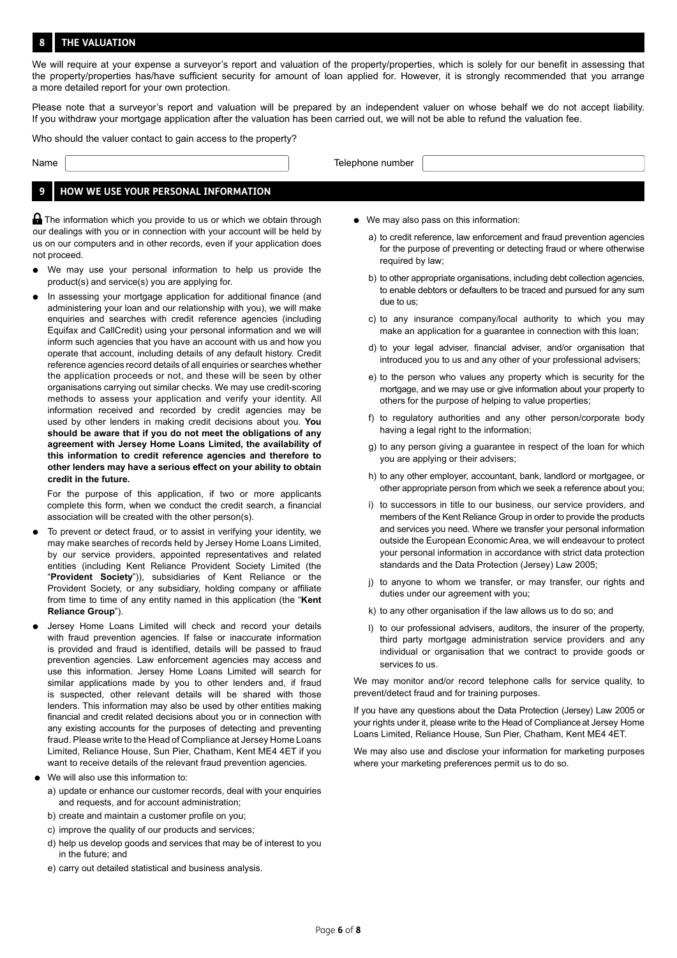#### **8 THE VALUATION**

We will require at your expense a surveyor's report and valuation of the property/properties, which is solely for our benefit in assessing that the property/properties has/have sufficient security for amount of loan applied for. However, it is strongly recommended that you arrange a more detailed report for your own protection.

Please note that a surveyor's report and valuation will be prepared by an independent valuer on whose behalf we do not accept liability. If you withdraw your mortgage application after the valuation has been carried out, we will not be able to refund the valuation fee.

Who should the valuer contact to gain access to the property?

Name Name Telephone number

### **9 HOW WE USE YOUR PERSONAL INFORMATION**

**A** The information which you provide to us or which we obtain through our dealings with you or in connection with your account will be held by us on our computers and in other records, even if your application does not proceed.

- We may use your personal information to help us provide the product(s) and service(s) you are applying for.
- In assessing your mortgage application for additional finance (and administering your loan and our relationship with you), we will make enquiries and searches with credit reference agencies (including Equifax and CallCredit) using your personal information and we will inform such agencies that you have an account with us and how you operate that account, including details of any default history. Credit reference agencies record details of all enquiries or searches whether the application proceeds or not, and these will be seen by other organisations carrying out similar checks. We may use credit-scoring methods to assess your application and verify your identity. All information received and recorded by credit agencies may be used by other lenders in making credit decisions about you. **You should be aware that if you do not meet the obligations of any agreement with Jersey Home Loans Limited, the availability of this information to credit reference agencies and therefore to other lenders may have a serious effect on your ability to obtain credit in the future.**

For the purpose of this application, if two or more applicants complete this form, when we conduct the credit search, a financial association will be created with the other person(s).

- To prevent or detect fraud, or to assist in verifying your identity, we may make searches of records held by Jersey Home Loans Limited, by our service providers, appointed representatives and related entities (including Kent Reliance Provident Society Limited (the "**Provident Society**")), subsidiaries of Kent Reliance or the Provident Society, or any subsidiary, holding company or affiliate from time to time of any entity named in this application (the "**Kent Reliance Group**").
- Jersey Home Loans Limited will check and record your details with fraud prevention agencies. If false or inaccurate information is provided and fraud is identified, details will be passed to fraud prevention agencies. Law enforcement agencies may access and use this information. Jersey Home Loans Limited will search for similar applications made by you to other lenders and, if fraud is suspected, other relevant details will be shared with those lenders. This information may also be used by other entities making financial and credit related decisions about you or in connection with any existing accounts for the purposes of detecting and preventing fraud. Please write to the Head of Compliance at Jersey Home Loans Limited, Reliance House, Sun Pier, Chatham, Kent ME4 4ET if you want to receive details of the relevant fraud prevention agencies.
- We will also use this information to:
	- a) update or enhance our customer records, deal with your enquiries and requests, and for account administration;
	- b) create and maintain a customer profile on you;
	- c) improve the quality of our products and services;
	- d) help us develop goods and services that may be of interest to you in the future; and
	- e) carry out detailed statistical and business analysis.
- We may also pass on this information:
	- a) to credit reference, law enforcement and fraud prevention agencies for the purpose of preventing or detecting fraud or where otherwise required by law;
	- b) to other appropriate organisations, including debt collection agencies, to enable debtors or defaulters to be traced and pursued for any sum due to us;
	- c) to any insurance company/local authority to which you may make an application for a guarantee in connection with this loan;
	- d) to your legal adviser, financial adviser, and/or organisation that introduced you to us and any other of your professional advisers;
	- e) to the person who values any property which is security for the mortgage, and we may use or give information about your property to others for the purpose of helping to value properties;
	- f) to regulatory authorities and any other person/corporate body having a legal right to the information;
	- g) to any person giving a guarantee in respect of the loan for which you are applying or their advisers;
	- h) to any other employer, accountant, bank, landlord or mortgagee, or other appropriate person from which we seek a reference about you;
	- i) to successors in title to our business, our service providers, and members of the Kent Reliance Group in order to provide the products and services you need. Where we transfer your personal information outside the European Economic Area, we will endeavour to protect your personal information in accordance with strict data protection standards and the Data Protection (Jersey) Law 2005;
	- j) to anyone to whom we transfer, or may transfer, our rights and duties under our agreement with you;
	- k) to any other organisation if the law allows us to do so; and
	- l) to our professional advisers, auditors, the insurer of the property, third party mortgage administration service providers and any individual or organisation that we contract to provide goods or services to us.

We may monitor and/or record telephone calls for service quality, to prevent/detect fraud and for training purposes.

If you have any questions about the Data Protection (Jersey) Law 2005 or your rights under it, please write to the Head of Compliance at Jersey Home Loans Limited, Reliance House, Sun Pier, Chatham, Kent ME4 4ET.

We may also use and disclose your information for marketing purposes where your marketing preferences permit us to do so.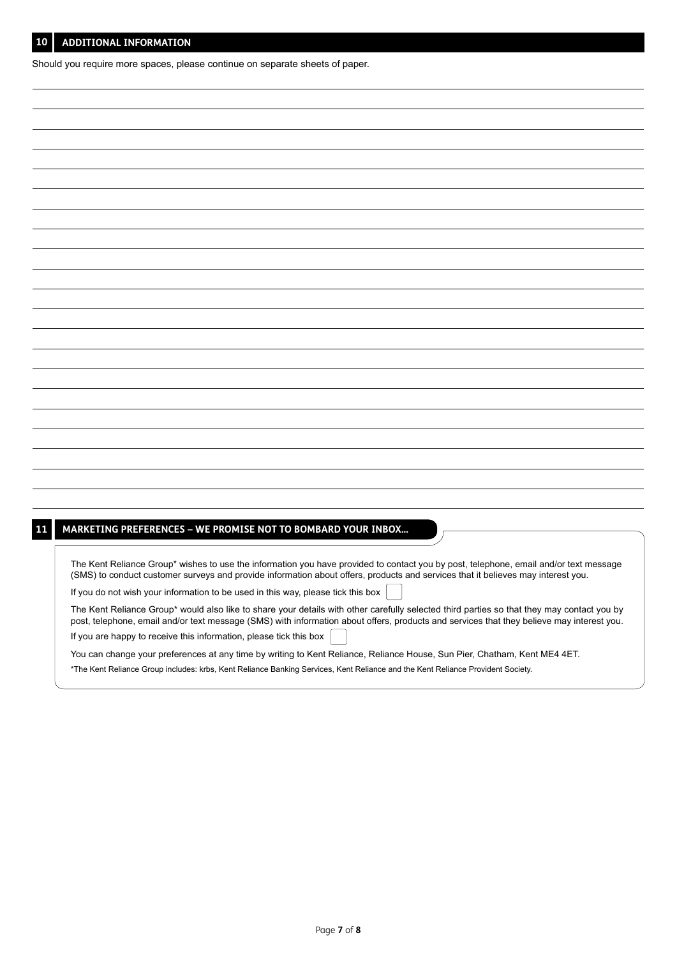Should you require more spaces, please continue on separate sheets of paper.

# **11 MARKETING PREFERENCES – WE PROMISE NOT TO BOMBARD YOUR INBOX...**

The Kent Reliance Group\* wishes to use the information you have provided to contact you by post, telephone, email and/or text message (SMS) to conduct customer surveys and provide information about offers, products and services that it believes may interest you.

If you do not wish your information to be used in this way, please tick this box

The Kent Reliance Group\* would also like to share your details with other carefully selected third parties so that they may contact you by post, telephone, email and/or text message (SMS) with information about offers, products and services that they believe may interest you. If you are happy to receive this information, please tick this box

You can change your preferences at any time by writing to Kent Reliance, Reliance House, Sun Pier, Chatham, Kent ME4 4ET.

\*The Kent Reliance Group includes: krbs, Kent Reliance Banking Services, Kent Reliance and the Kent Reliance Provident Society.